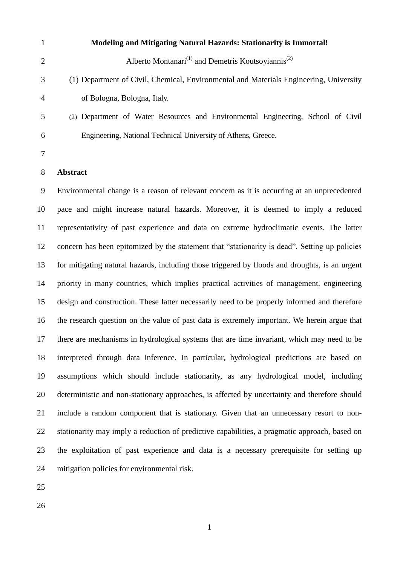- **Modeling and Mitigating Natural Hazards: Stationarity is Immortal!** Alberto Montanari<sup>(1)</sup> and Demetris Koutsoyiannis<sup>(2)</sup> (1) Department of Civil, Chemical, Environmental and Materials Engineering, University of Bologna, Bologna, Italy. (2) Department of Water Resources and Environmental Engineering, School of Civil Engineering, National Technical University of Athens, Greece.
- 

# **Abstract**

 Environmental change is a reason of relevant concern as it is occurring at an unprecedented pace and might increase natural hazards. Moreover, it is deemed to imply a reduced representativity of past experience and data on extreme hydroclimatic events. The latter concern has been epitomized by the statement that "stationarity is dead". Setting up policies for mitigating natural hazards, including those triggered by floods and droughts, is an urgent priority in many countries, which implies practical activities of management, engineering design and construction. These latter necessarily need to be properly informed and therefore the research question on the value of past data is extremely important. We herein argue that there are mechanisms in hydrological systems that are time invariant, which may need to be interpreted through data inference. In particular, hydrological predictions are based on assumptions which should include stationarity, as any hydrological model, including deterministic and non-stationary approaches, is affected by uncertainty and therefore should include a random component that is stationary. Given that an unnecessary resort to non- stationarity may imply a reduction of predictive capabilities, a pragmatic approach, based on the exploitation of past experience and data is a necessary prerequisite for setting up mitigation policies for environmental risk.

- 
-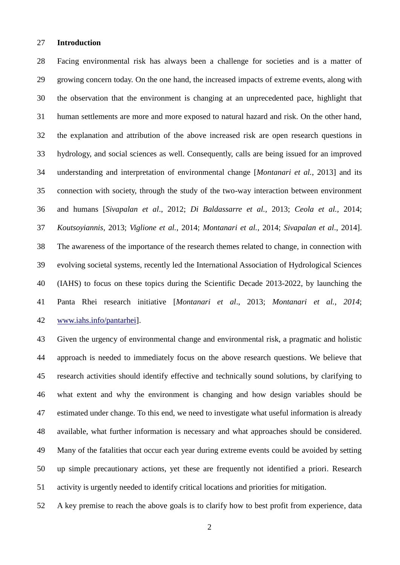### **Introduction**

 Facing environmental risk has always been a challenge for societies and is a matter of growing concern today. On the one hand, the increased impacts of extreme events, along with the observation that the environment is changing at an unprecedented pace, highlight that human settlements are more and more exposed to natural hazard and risk. On the other hand, the explanation and attribution of the above increased risk are open research questions in hydrology, and social sciences as well. Consequently, calls are being issued for an improved understanding and interpretation of environmental change [*Montanari et al.*, 2013] and its connection with society, through the study of the two-way interaction between environment and humans [*Sivapalan et al*., 2012; *Di Baldassarre et al.,* 2013; *Ceola et al.,* 2014; *Koutsoyiannis,* 2013; *Viglione et al.*, 2014; *Montanari et al.*, 2014; *Sivapalan et al*., 2014]. The awareness of the importance of the research themes related to change, in connection with evolving societal systems, recently led the International Association of Hydrological Sciences (IAHS) to focus on these topics during the Scientific Decade 2013-2022, by launching the Panta Rhei research initiative [*Montanari et al*., 2013; *Montanari et al.*, *2014*; [www.iahs.info/pantarhei\]](http://www.iahs.info/pantarhei).

 Given the urgency of environmental change and environmental risk, a pragmatic and holistic approach is needed to immediately focus on the above research questions. We believe that research activities should identify effective and technically sound solutions, by clarifying to what extent and why the environment is changing and how design variables should be estimated under change. To this end, we need to investigate what useful information is already available, what further information is necessary and what approaches should be considered. Many of the fatalities that occur each year during extreme events could be avoided by setting up simple precautionary actions, yet these are frequently not identified a priori. Research activity is urgently needed to identify critical locations and priorities for mitigation.

A key premise to reach the above goals is to clarify how to best profit from experience, data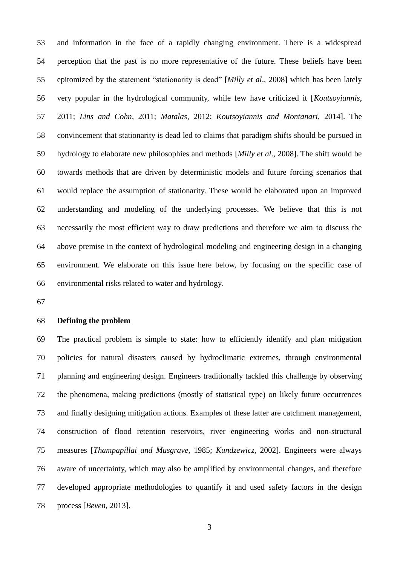and information in the face of a rapidly changing environment. There is a widespread perception that the past is no more representative of the future. These beliefs have been epitomized by the statement "stationarity is dead" [*Milly et al*., 2008] which has been lately very popular in the hydrological community, while few have criticized it [*Koutsoyiannis*, 2011; *Lins and Cohn*, 2011; *Matalas*, 2012; *Koutsoyiannis and Montanari*, 2014]. The convincement that stationarity is dead led to claims that paradigm shifts should be pursued in hydrology to elaborate new philosophies and methods [*Milly et al*., 2008]. The shift would be towards methods that are driven by deterministic models and future forcing scenarios that would replace the assumption of stationarity. These would be elaborated upon an improved understanding and modeling of the underlying processes. We believe that this is not necessarily the most efficient way to draw predictions and therefore we aim to discuss the above premise in the context of hydrological modeling and engineering design in a changing environment. We elaborate on this issue here below, by focusing on the specific case of environmental risks related to water and hydrology.

## **Defining the problem**

 The practical problem is simple to state: how to efficiently identify and plan mitigation policies for natural disasters caused by hydroclimatic extremes, through environmental planning and engineering design. Engineers traditionally tackled this challenge by observing the phenomena, making predictions (mostly of statistical type) on likely future occurrences and finally designing mitigation actions. Examples of these latter are catchment management, construction of flood retention reservoirs, river engineering works and non-structural measures [*Thampapillai and Musgrave*, 1985; *Kundzewicz*, 2002]. Engineers were always aware of uncertainty, which may also be amplified by environmental changes, and therefore developed appropriate methodologies to quantify it and used safety factors in the design process [*Beven*, 2013].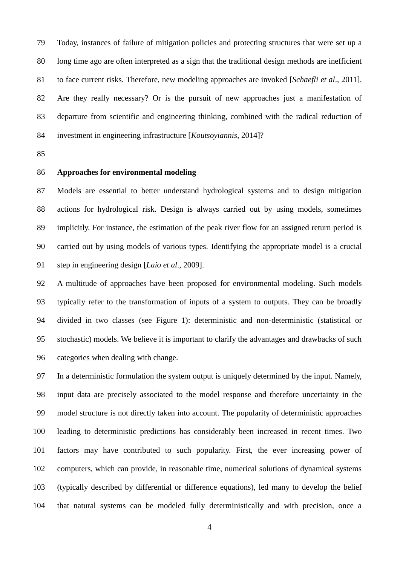Today, instances of failure of mitigation policies and protecting structures that were set up a long time ago are often interpreted as a sign that the traditional design methods are inefficient to face current risks. Therefore, new modeling approaches are invoked [*Schaefli et al*., 2011]. Are they really necessary? Or is the pursuit of new approaches just a manifestation of departure from scientific and engineering thinking, combined with the radical reduction of investment in engineering infrastructure [*Koutsoyiannis*, 2014]?

# **Approaches for environmental modeling**

 Models are essential to better understand hydrological systems and to design mitigation actions for hydrological risk. Design is always carried out by using models, sometimes implicitly. For instance, the estimation of the peak river flow for an assigned return period is carried out by using models of various types. Identifying the appropriate model is a crucial step in engineering design [*Laio et al*., 2009].

 A multitude of approaches have been proposed for environmental modeling. Such models typically refer to the transformation of inputs of a system to outputs. They can be broadly divided in two classes (see Figure 1): deterministic and non-deterministic (statistical or stochastic) models. We believe it is important to clarify the advantages and drawbacks of such categories when dealing with change.

 In a deterministic formulation the system output is uniquely determined by the input. Namely, input data are precisely associated to the model response and therefore uncertainty in the model structure is not directly taken into account. The popularity of deterministic approaches leading to deterministic predictions has considerably been increased in recent times. Two factors may have contributed to such popularity. First, the ever increasing power of computers, which can provide, in reasonable time, numerical solutions of dynamical systems (typically described by differential or difference equations), led many to develop the belief that natural systems can be modeled fully deterministically and with precision, once a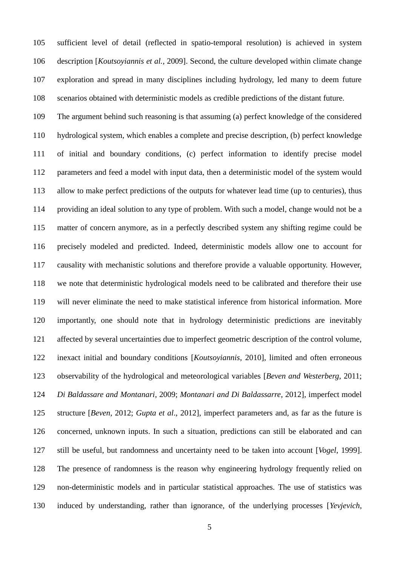sufficient level of detail (reflected in spatio-temporal resolution) is achieved in system description [*Koutsoyiannis et al.*, 2009]. Second, the culture developed within climate change exploration and spread in many disciplines including hydrology, led many to deem future scenarios obtained with deterministic models as credible predictions of the distant future.

 The argument behind such reasoning is that assuming (a) perfect knowledge of the considered hydrological system, which enables a complete and precise description, (b) perfect knowledge of initial and boundary conditions, (c) perfect information to identify precise model parameters and feed a model with input data, then a deterministic model of the system would allow to make perfect predictions of the outputs for whatever lead time (up to centuries), thus providing an ideal solution to any type of problem. With such a model, change would not be a matter of concern anymore, as in a perfectly described system any shifting regime could be precisely modeled and predicted. Indeed, deterministic models allow one to account for causality with mechanistic solutions and therefore provide a valuable opportunity. However, we note that deterministic hydrological models need to be calibrated and therefore their use will never eliminate the need to make statistical inference from historical information. More importantly, one should note that in hydrology deterministic predictions are inevitably affected by several uncertainties due to imperfect geometric description of the control volume, inexact initial and boundary conditions [*Koutsoyiannis*, 2010], limited and often erroneous observability of the hydrological and meteorological variables [*Beven and Westerberg*, 2011; *Di Baldassare and Montanari*, 2009; *Montanari and Di Baldassarre*, 2012], imperfect model structure [*Beven*, 2012; *Gupta et al*., 2012], imperfect parameters and, as far as the future is concerned, unknown inputs. In such a situation, predictions can still be elaborated and can still be useful, but randomness and uncertainty need to be taken into account [*Vogel*, 1999]. The presence of randomness is the reason why engineering hydrology frequently relied on non-deterministic models and in particular statistical approaches. The use of statistics was induced by understanding, rather than ignorance, of the underlying processes [*Yevjevich*,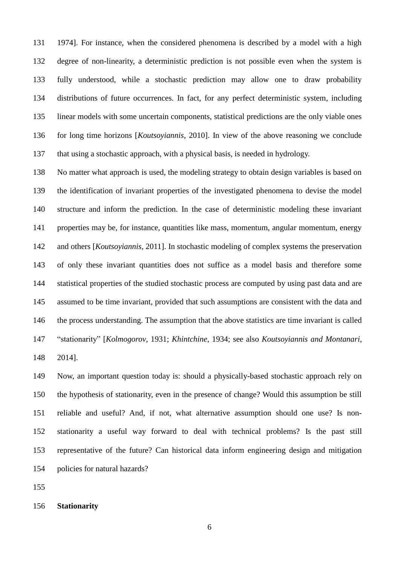1974]. For instance, when the considered phenomena is described by a model with a high degree of non-linearity, a deterministic prediction is not possible even when the system is fully understood, while a stochastic prediction may allow one to draw probability distributions of future occurrences. In fact, for any perfect deterministic system, including linear models with some uncertain components, statistical predictions are the only viable ones for long time horizons [*Koutsoyiannis*, 2010]. In view of the above reasoning we conclude that using a stochastic approach, with a physical basis, is needed in hydrology.

 No matter what approach is used, the modeling strategy to obtain design variables is based on the identification of invariant properties of the investigated phenomena to devise the model structure and inform the prediction. In the case of deterministic modeling these invariant properties may be, for instance, quantities like mass, momentum, angular momentum, energy and others [*Koutsoyiannis*, 2011]. In stochastic modeling of complex systems the preservation of only these invariant quantities does not suffice as a model basis and therefore some statistical properties of the studied stochastic process are computed by using past data and are assumed to be time invariant, provided that such assumptions are consistent with the data and the process understanding. The assumption that the above statistics are time invariant is called "stationarity" [*Kolmogorov*, 1931; *Khintchine*, 1934; see also *Koutsoyiannis and Montanari*, 2014].

 Now, an important question today is: should a physically-based stochastic approach rely on the hypothesis of stationarity, even in the presence of change? Would this assumption be still reliable and useful? And, if not, what alternative assumption should one use? Is non- stationarity a useful way forward to deal with technical problems? Is the past still representative of the future? Can historical data inform engineering design and mitigation policies for natural hazards?

**Stationarity**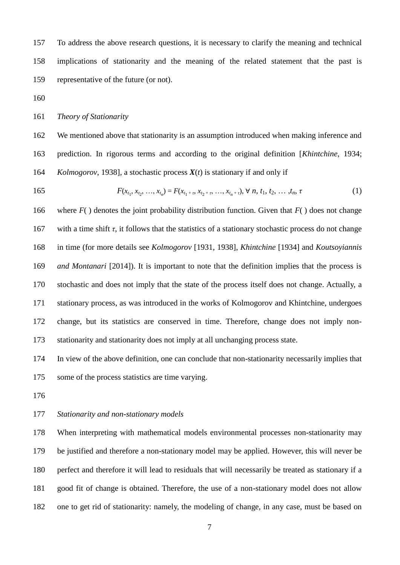To address the above research questions, it is necessary to clarify the meaning and technical implications of stationarity and the meaning of the related statement that the past is representative of the future (or not).

*Theory of Stationarity*

 We mentioned above that stationarity is an assumption introduced when making inference and prediction. In rigorous terms and according to the original definition [*Khintchine*, 1934; *Kolmogorov*, 1938], a stochastic process *X*(*t*) is stationary if and only if

165 
$$
F(x_{t_1}, x_{t_2}, ..., x_{t_n}) = F(x_{t_1 + r}, x_{t_2 + r}, ..., x_{t_n + r}), \forall n, t_1, t_2, ..., t_n, \tau
$$
 (1)

 where *F*( ) denotes the joint probability distribution function. Given that *F*( ) does not change 167 with a time shift  $\tau$ , it follows that the statistics of a stationary stochastic process do not change in time (for more details see *Kolmogorov* [1931, 1938], *Khintchine* [1934] and *Koutsoyiannis and Montanari* [2014]). It is important to note that the definition implies that the process is stochastic and does not imply that the state of the process itself does not change. Actually, a stationary process, as was introduced in the works of Kolmogorov and Khintchine, undergoes change, but its statistics are conserved in time. Therefore, change does not imply non-stationarity and stationarity does not imply at all unchanging process state.

 In view of the above definition, one can conclude that non-stationarity necessarily implies that some of the process statistics are time varying.

## *Stationarity and non-stationary models*

 When interpreting with mathematical models environmental processes non-stationarity may be justified and therefore a non-stationary model may be applied. However, this will never be perfect and therefore it will lead to residuals that will necessarily be treated as stationary if a good fit of change is obtained. Therefore, the use of a non-stationary model does not allow one to get rid of stationarity: namely, the modeling of change, in any case, must be based on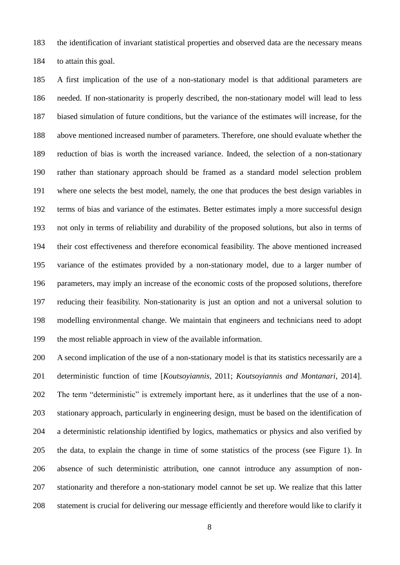the identification of invariant statistical properties and observed data are the necessary means to attain this goal.

 A first implication of the use of a non-stationary model is that additional parameters are needed. If non-stationarity is properly described, the non-stationary model will lead to less biased simulation of future conditions, but the variance of the estimates will increase, for the above mentioned increased number of parameters. Therefore, one should evaluate whether the reduction of bias is worth the increased variance. Indeed, the selection of a non-stationary rather than stationary approach should be framed as a standard model selection problem where one selects the best model, namely, the one that produces the best design variables in terms of bias and variance of the estimates. Better estimates imply a more successful design not only in terms of reliability and durability of the proposed solutions, but also in terms of their cost effectiveness and therefore economical feasibility. The above mentioned increased variance of the estimates provided by a non-stationary model, due to a larger number of parameters, may imply an increase of the economic costs of the proposed solutions, therefore reducing their feasibility. Non-stationarity is just an option and not a universal solution to modelling environmental change. We maintain that engineers and technicians need to adopt the most reliable approach in view of the available information.

 A second implication of the use of a non-stationary model is that its statistics necessarily are a deterministic function of time [*Koutsoyiannis*, 2011; *Koutsoyiannis and Montanari*, 2014]. The term "deterministic" is extremely important here, as it underlines that the use of a non- stationary approach, particularly in engineering design, must be based on the identification of a deterministic relationship identified by logics, mathematics or physics and also verified by the data, to explain the change in time of some statistics of the process (see Figure 1). In absence of such deterministic attribution, one cannot introduce any assumption of non- stationarity and therefore a non-stationary model cannot be set up. We realize that this latter statement is crucial for delivering our message efficiently and therefore would like to clarify it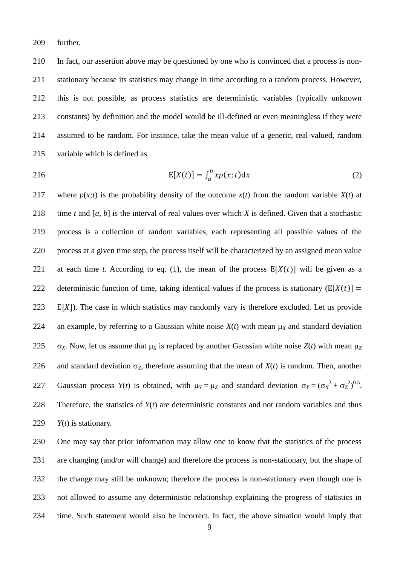further.

 In fact, our assertion above may be questioned by one who is convinced that a process is non- stationary because its statistics may change in time according to a random process. However, this is not possible, as process statistics are deterministic variables (typically unknown constants) by definition and the model would be ill-defined or even meaningless if they were assumed to be random. For instance, take the mean value of a generic, real-valued, random variable which is defined as

$$
E[X(t)] = \int_{a}^{b} xp(x; t) dx
$$
 (2)

217 where  $p(x;t)$  is the probability density of the outcome  $x(t)$  from the random variable  $X(t)$  at time *t* and [*a*, *b*] is the interval of real values over which *X* is defined. Given that a stochastic process is a collection of random variables, each representing all possible values of the process at a given time step, the process itself will be characterized by an assigned mean value 221 at each time *t*. According to eq. (1), the mean of the process  $E[X(t)]$  will be given as a 222 deterministic function of time, taking identical values if the process is stationary  $(E[X(t)] =$ 223 E[X]). The case in which statistics may randomly vary is therefore excluded. Let us provide 224 an example, by referring to a Gaussian white noise  $X(t)$  with mean  $\mu_X$  and standard deviation 225  $\sigma_X$ . Now, let us assume that  $\mu_X$  is replaced by another Gaussian white noise  $Z(t)$  with mean  $\mu_Z$ 226 and standard deviation  $\sigma_Z$ , therefore assuming that the mean of  $X(t)$  is random. Then, another Caussian process  $Y(t)$  is obtained, with  $\mu_Y = \mu_Z$  and standard deviation  $\sigma_Y = (\sigma_X^2 + \sigma_Z^2)^{0.5}$ . Therefore, the statistics of *Y*(*t*) are deterministic constants and not random variables and thus *Y*(*t*) is stationary.

 One may say that prior information may allow one to know that the statistics of the process are changing (and/or will change) and therefore the process is non-stationary, but the shape of the change may still be unknown; therefore the process is non-stationary even though one is not allowed to assume any deterministic relationship explaining the progress of statistics in time. Such statement would also be incorrect. In fact, the above situation would imply that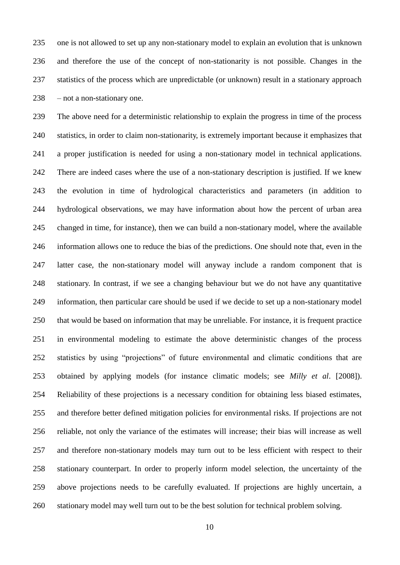one is not allowed to set up any non-stationary model to explain an evolution that is unknown and therefore the use of the concept of non-stationarity is not possible. Changes in the statistics of the process which are unpredictable (or unknown) result in a stationary approach – not a non-stationary one.

 The above need for a deterministic relationship to explain the progress in time of the process statistics, in order to claim non-stationarity, is extremely important because it emphasizes that a proper justification is needed for using a non-stationary model in technical applications. There are indeed cases where the use of a non-stationary description is justified. If we knew the evolution in time of hydrological characteristics and parameters (in addition to hydrological observations, we may have information about how the percent of urban area changed in time, for instance), then we can build a non-stationary model, where the available information allows one to reduce the bias of the predictions. One should note that, even in the latter case, the non-stationary model will anyway include a random component that is stationary. In contrast, if we see a changing behaviour but we do not have any quantitative information, then particular care should be used if we decide to set up a non-stationary model that would be based on information that may be unreliable. For instance, it is frequent practice in environmental modeling to estimate the above deterministic changes of the process statistics by using "projections" of future environmental and climatic conditions that are obtained by applying models (for instance climatic models; see *Milly et al*. [2008]). Reliability of these projections is a necessary condition for obtaining less biased estimates, and therefore better defined mitigation policies for environmental risks. If projections are not reliable, not only the variance of the estimates will increase; their bias will increase as well and therefore non-stationary models may turn out to be less efficient with respect to their stationary counterpart. In order to properly inform model selection, the uncertainty of the above projections needs to be carefully evaluated. If projections are highly uncertain, a stationary model may well turn out to be the best solution for technical problem solving.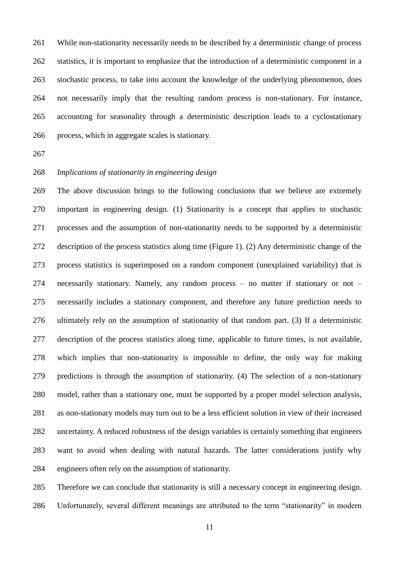While non-stationarity necessarily needs to be described by a deterministic change of process statistics, it is important to emphasize that the introduction of a deterministic component in a stochastic process, to take into account the knowledge of the underlying phenomenon, does not necessarily imply that the resulting random process is non-stationary. For instance, accounting for seasonality through a deterministic description leads to a cyclostationary process, which in aggregate scales is stationary.

# *Implications of stationarity in engineering design*

 The above discussion brings to the following conclusions that we believe are extremely important in engineering design. (1) Stationarity is a concept that applies to stochastic processes and the assumption of non-stationarity needs to be supported by a deterministic description of the process statistics along time (Figure 1). (2) Any deterministic change of the process statistics is superimposed on a random component (unexplained variability) that is necessarily stationary. Namely, any random process – no matter if stationary or not – necessarily includes a stationary component, and therefore any future prediction needs to ultimately rely on the assumption of stationarity of that random part. (3) If a deterministic description of the process statistics along time, applicable to future times, is not available, which implies that non-stationarity is impossible to define, the only way for making predictions is through the assumption of stationarity. (4) The selection of a non-stationary model, rather than a stationary one, must be supported by a proper model selection analysis, as non-stationary models may turn out to be a less efficient solution in view of their increased uncertainty. A reduced robustness of the design variables is certainly something that engineers want to avoid when dealing with natural hazards. The latter considerations justify why engineers often rely on the assumption of stationarity.

 Therefore we can conclude that stationarity is still a necessary concept in engineering design. Unfortunately, several different meanings are attributed to the term "stationarity" in modern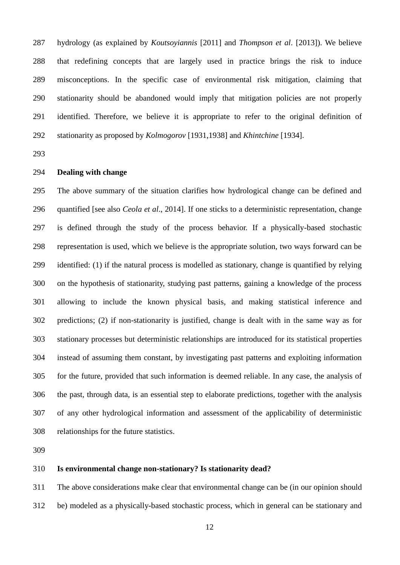hydrology (as explained by *Koutsoyiannis* [2011] and *Thompson et al*. [2013]). We believe that redefining concepts that are largely used in practice brings the risk to induce misconceptions. In the specific case of environmental risk mitigation, claiming that stationarity should be abandoned would imply that mitigation policies are not properly identified. Therefore, we believe it is appropriate to refer to the original definition of stationarity as proposed by *Kolmogorov* [1931,1938] and *Khintchine* [1934].

# **Dealing with change**

 The above summary of the situation clarifies how hydrological change can be defined and quantified [see also *Ceola et al*., 2014]. If one sticks to a deterministic representation, change is defined through the study of the process behavior. If a physically-based stochastic representation is used, which we believe is the appropriate solution, two ways forward can be identified: (1) if the natural process is modelled as stationary, change is quantified by relying on the hypothesis of stationarity, studying past patterns, gaining a knowledge of the process allowing to include the known physical basis, and making statistical inference and predictions; (2) if non-stationarity is justified, change is dealt with in the same way as for stationary processes but deterministic relationships are introduced for its statistical properties instead of assuming them constant, by investigating past patterns and exploiting information for the future, provided that such information is deemed reliable. In any case, the analysis of the past, through data, is an essential step to elaborate predictions, together with the analysis of any other hydrological information and assessment of the applicability of deterministic relationships for the future statistics.

## **Is environmental change non-stationary? Is stationarity dead?**

 The above considerations make clear that environmental change can be (in our opinion should be) modeled as a physically-based stochastic process, which in general can be stationary and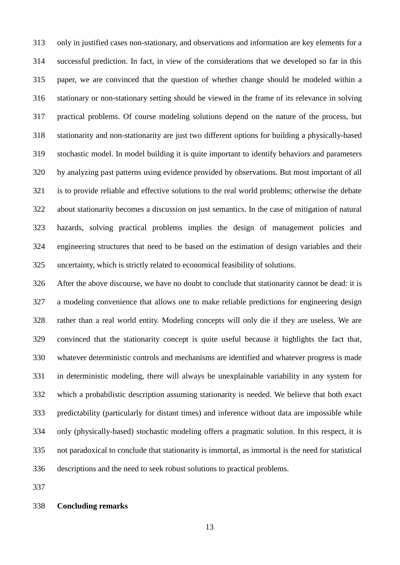only in justified cases non-stationary, and observations and information are key elements for a successful prediction. In fact, in view of the considerations that we developed so far in this paper, we are convinced that the question of whether change should be modeled within a stationary or non-stationary setting should be viewed in the frame of its relevance in solving practical problems. Of course modeling solutions depend on the nature of the process, but stationarity and non-stationarity are just two different options for building a physically-based stochastic model. In model building it is quite important to identify behaviors and parameters by analyzing past patterns using evidence provided by observations. But most important of all is to provide reliable and effective solutions to the real world problems; otherwise the debate about stationarity becomes a discussion on just semantics. In the case of mitigation of natural hazards, solving practical problems implies the design of management policies and engineering structures that need to be based on the estimation of design variables and their uncertainty, which is strictly related to economical feasibility of solutions.

 After the above discourse, we have no doubt to conclude that stationarity cannot be dead: it is a modeling convenience that allows one to make reliable predictions for engineering design rather than a real world entity. Modeling concepts will only die if they are useless. We are convinced that the stationarity concept is quite useful because it highlights the fact that, whatever deterministic controls and mechanisms are identified and whatever progress is made in deterministic modeling, there will always be unexplainable variability in any system for which a probabilistic description assuming stationarity is needed. We believe that both exact predictability (particularly for distant times) and inference without data are impossible while only (physically-based) stochastic modeling offers a pragmatic solution. In this respect, it is not paradoxical to conclude that stationarity is immortal, as immortal is the need for statistical descriptions and the need to seek robust solutions to practical problems.

## **Concluding remarks**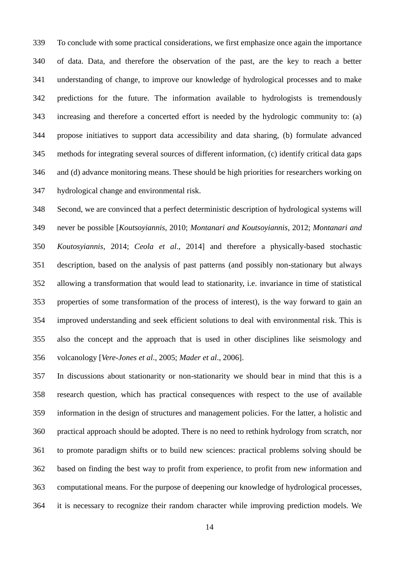To conclude with some practical considerations, we first emphasize once again the importance of data. Data, and therefore the observation of the past, are the key to reach a better understanding of change, to improve our knowledge of hydrological processes and to make predictions for the future. The information available to hydrologists is tremendously increasing and therefore a concerted effort is needed by the hydrologic community to: (a) propose initiatives to support data accessibility and data sharing, (b) formulate advanced methods for integrating several sources of different information, (c) identify critical data gaps and (d) advance monitoring means. These should be high priorities for researchers working on hydrological change and environmental risk.

 Second, we are convinced that a perfect deterministic description of hydrological systems will never be possible [*Koutsoyiannis*, 2010; *Montanari and Koutsoyiannis*, 2012; *Montanari and Koutosyiannis*, 2014; *Ceola et al*., 2014] and therefore a physically-based stochastic description, based on the analysis of past patterns (and possibly non-stationary but always allowing a transformation that would lead to stationarity, i.e. invariance in time of statistical properties of some transformation of the process of interest), is the way forward to gain an improved understanding and seek efficient solutions to deal with environmental risk. This is also the concept and the approach that is used in other disciplines like seismology and volcanology [*Vere-Jones et al*., 2005; *Mader et al*., 2006].

 In discussions about stationarity or non-stationarity we should bear in mind that this is a research question, which has practical consequences with respect to the use of available information in the design of structures and management policies. For the latter, a holistic and practical approach should be adopted. There is no need to rethink hydrology from scratch, nor to promote paradigm shifts or to build new sciences: practical problems solving should be based on finding the best way to profit from experience, to profit from new information and computational means. For the purpose of deepening our knowledge of hydrological processes, it is necessary to recognize their random character while improving prediction models. We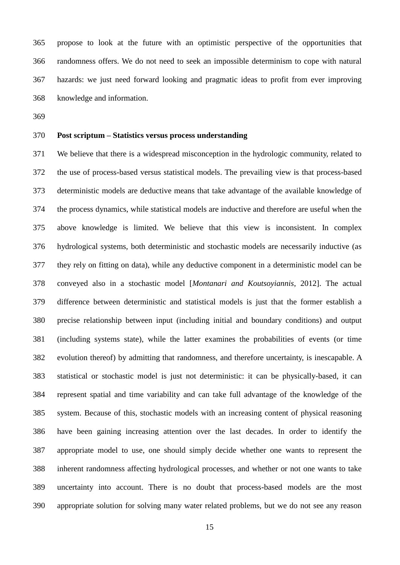propose to look at the future with an optimistic perspective of the opportunities that randomness offers. We do not need to seek an impossible determinism to cope with natural hazards: we just need forward looking and pragmatic ideas to profit from ever improving knowledge and information.

## **Post scriptum – Statistics versus process understanding**

 We believe that there is a widespread misconception in the hydrologic community, related to the use of process-based versus statistical models. The prevailing view is that process-based deterministic models are deductive means that take advantage of the available knowledge of the process dynamics, while statistical models are inductive and therefore are useful when the above knowledge is limited. We believe that this view is inconsistent. In complex hydrological systems, both deterministic and stochastic models are necessarily inductive (as they rely on fitting on data), while any deductive component in a deterministic model can be conveyed also in a stochastic model [*Montanari and Koutsoyiannis*, 2012]. The actual difference between deterministic and statistical models is just that the former establish a precise relationship between input (including initial and boundary conditions) and output (including systems state), while the latter examines the probabilities of events (or time evolution thereof) by admitting that randomness, and therefore uncertainty, is inescapable. A statistical or stochastic model is just not deterministic: it can be physically-based, it can represent spatial and time variability and can take full advantage of the knowledge of the system. Because of this, stochastic models with an increasing content of physical reasoning have been gaining increasing attention over the last decades. In order to identify the appropriate model to use, one should simply decide whether one wants to represent the inherent randomness affecting hydrological processes, and whether or not one wants to take uncertainty into account. There is no doubt that process-based models are the most appropriate solution for solving many water related problems, but we do not see any reason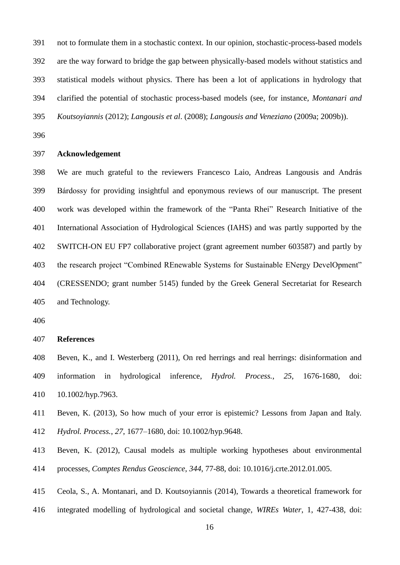not to formulate them in a stochastic context. In our opinion, stochastic-process-based models are the way forward to bridge the gap between physically-based models without statistics and statistical models without physics. There has been a lot of applications in hydrology that clarified the potential of stochastic process-based models (see, for instance, *Montanari and Koutsoyiannis* (2012); *Langousis et al*. (2008); *Langousis and Veneziano* (2009a; 2009b)).

#### **Acknowledgement**

 We are much grateful to the reviewers Francesco Laio, Andreas Langousis and András Bárdossy for providing insightful and eponymous reviews of our manuscript. The present work was developed within the framework of the "Panta Rhei" Research Initiative of the International Association of Hydrological Sciences (IAHS) and was partly supported by the SWITCH-ON EU FP7 collaborative project (grant agreement number 603587) and partly by the research project "Combined REnewable Systems for Sustainable ENergy DevelOpment" (CRESSENDO; grant number 5145) funded by the Greek General Secretariat for Research and Technology.

#### **References**

 Beven, K., and I. Westerberg (2011), On red herrings and real herrings: disinformation and information in hydrological inference, *Hydrol. Process.*, *25*, 1676-1680, doi: 10.1002/hyp.7963.

- Beven, K. (2013), So how much of your error is epistemic? Lessons from Japan and Italy. *Hydrol. Process.*, *27*, 1677–1680, doi: 10.1002/hyp.9648.
- Beven, K. (2012), Causal models as multiple working hypotheses about environmental processes, *Comptes Rendus Geoscience*, *344*, 77-88, doi: 10.1016/j.crte.2012.01.005.

Ceola, S., A. Montanari, and D. Koutsoyiannis (2014), Towards a theoretical framework for

integrated modelling of hydrological and societal change, *WIREs Water*, 1, 427-438, doi: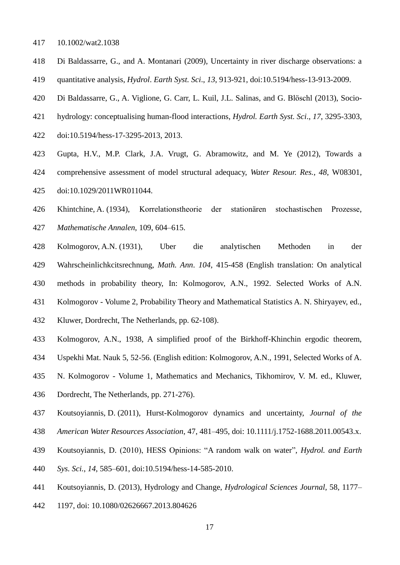- 10.1002/wat2.1038
- Di Baldassarre, G., and A. Montanari (2009), Uncertainty in river discharge observations: a quantitative analysis, *Hydrol*. *Earth Syst. Sci*., *13*, 913-921, doi:10.5194/hess-13-913-2009.
- Di Baldassarre, G., A. Viglione, G. Carr, L. Kuil, J.L. Salinas, and G. Blöschl (2013), Socio-
- hydrology: conceptualising human-flood interactions, *Hydrol. Earth Syst. Sci*., *17*, 3295-3303,
- doi:10.5194/hess-17-3295-2013, 2013.
- Gupta, H.V., M.P. Clark, J.A. Vrugt, G. Abramowitz, and M. Ye (2012), Towards a
- comprehensive assessment of model structural adequacy, *Water Resour. Res.*, *48*, W08301,
- doi:10.1029/2011WR011044.
- Khintchine, A. (1934), Korrelationstheorie der stationären stochastischen Prozesse,
- *Mathematische Annalen*, 109, 604–615.
- Kolmogorov, A.N. (1931), Uber die analytischen Methoden in der Wahrscheinlichkcitsrechnung, *Math. Ann*. *104*, 415-458 (English translation: On analytical methods in probability theory, In: Kolmogorov, A.N., 1992. Selected Works of A.N.
- 
- Kolmogorov Volume 2, Probability Theory and Mathematical Statistics A. N. Shiryayev, ed.,
- Kluwer, Dordrecht, The Netherlands, pp. 62-108).
- Kolmogorov, A.N., 1938, A simplified proof of the Birkhoff-Khinchin ergodic theorem,
- Uspekhi Mat. Nauk 5, 52-56. (English edition: Kolmogorov, A.N., 1991, Selected Works of A.
- N. Kolmogorov Volume 1, Mathematics and Mechanics, Tikhomirov, V. M. ed., Kluwer,
- Dordrecht, The Netherlands, pp. 271-276).
- Koutsoyiannis, D. (2011), Hurst-Kolmogorov dynamics and uncertainty, *Journal of the*
- *American Water Resources Association*, 47, 481–495, doi: 10.1111/j.1752-1688.2011.00543.x.
- Koutsoyiannis, D. (2010), HESS Opinions: "A random walk on water", *Hydrol. and Earth*
- *Sys. Sci.*, *14*, 585–601, doi:10.5194/hess-14-585-2010.
- Koutsoyiannis, D. (2013), Hydrology and Change, *Hydrological Sciences Journal*, 58, 1177–
- 1197, doi: 10.1080/02626667.2013.804626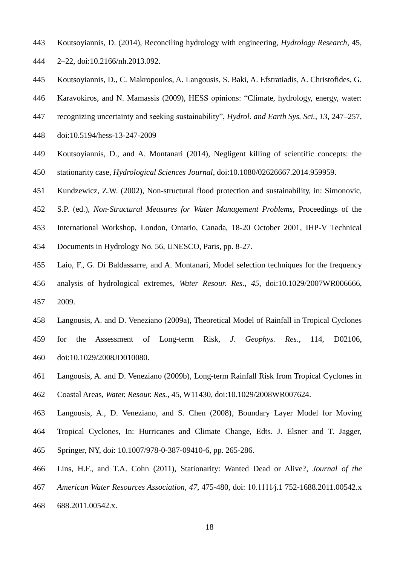- Koutsoyiannis, D. (2014), Reconciling hydrology with engineering, *Hydrology Research*, 45,
- 2–22, doi:10.2166/nh.2013.092.
- Koutsoyiannis, D., C. Makropoulos, A. Langousis, S. Baki, A. Efstratiadis, A. Christofides, G.
- Karavokiros, and N. Mamassis (2009), HESS opinions: "Climate, hydrology, energy, water:
- recognizing uncertainty and seeking sustainability", *Hydrol. and Earth Sys. Sci.*, *13*, 247–257,
- doi:10.5194/hess-13-247-2009
- Koutsoyiannis, D., and A. Montanari (2014), Negligent killing of scientific concepts: the stationarity case, *Hydrological Sciences Journal*, doi:10.1080/02626667.2014.959959.
- Kundzewicz, Z.W. (2002), Non-structural flood protection and sustainability, in: Simonovic,
- S.P. (ed.), *Non-Structural Measures for Water Management Problems*, Proceedings of the
- International Workshop, London, Ontario, Canada, 18-20 October 2001, IHP-V Technical
- Documents in Hydrology No. 56, UNESCO, Paris, pp. 8-27.
- Laio, F., G. Di Baldassarre, and A. Montanari, Model selection techniques for the frequency analysis of hydrological extremes, *Water Resour. Res.*, *45*, doi:10.1029/2007WR006666,
- 2009.
- Langousis, A. and D. Veneziano (2009a), Theoretical Model of Rainfall in Tropical Cyclones
- for the Assessment of Long-term Risk, *J. Geophys. Res*., 114, D02106, doi:10.1029/2008JD010080.
- Langousis, A. and D. Veneziano (2009b), Long-term Rainfall Risk from Tropical Cyclones in Coastal Areas, *Water. Resour. Res.*, 45, W11430, doi:10.1029/2008WR007624.
- Langousis, A., D. Veneziano, and S. Chen (2008), Boundary Layer Model for Moving Tropical Cyclones, In: Hurricanes and Climate Change, Edts. J. Elsner and T. Jagger, Springer, NY, doi: 10.1007/978-0-387-09410-6, pp. 265-286.
- Lins, H.F., and T.A. Cohn (2011), Stationarity: Wanted Dead or Alive?, *Journal of the*
- *American Water Resources Association*, *47*, 475-480, doi: 10.1111⁄j.1 752-1688.2011.00542.x
- 688.2011.00542.x.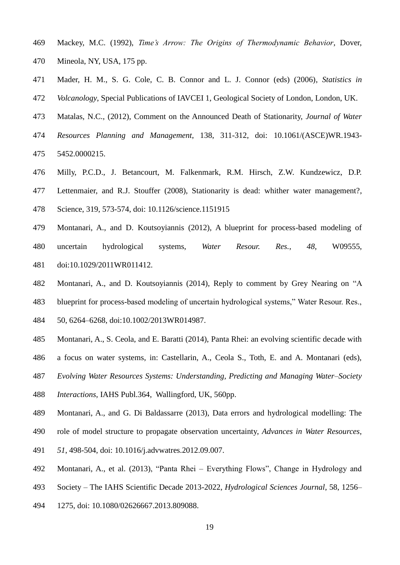- Mackey, M.C. (1992), *Time's Arrow: The Origins of Thermodynamic Behavior*, Dover,
- Mineola, NY, USA, 175 pp.
- Mader, H. M., S. G. Cole, C. B. Connor and L. J. Connor (eds) (2006), *Statistics in*
- *Volcanology*, Special Publications of IAVCEI 1, Geological Society of London, London, UK.
- Matalas, N.C., (2012), Comment on the Announced Death of Stationarity, *Journal of Water*
- *Resources Planning and Management*, 138, 311-312, doi: 10.1061/(ASCE)WR.1943- 5452.0000215.
- Milly, P.C.D., J. Betancourt, M. Falkenmark, R.M. Hirsch, Z.W. Kundzewicz, D.P.
- Lettenmaier, and R.J. Stouffer (2008), Stationarity is dead: whither water management?,

Science, 319, 573-574, doi: 10.1126/science.1151915

- Montanari, A., and D. Koutsoyiannis (2012), A blueprint for process-based modeling of uncertain hydrological systems, *Water Resour. Res.*, *48*, W09555, doi:10.1029/2011WR011412.
- Montanari, A., and D. Koutsoyiannis (2014), Reply to comment by Grey Nearing on "A
- blueprint for process-based modeling of uncertain hydrological systems," Water Resour. Res.,

50, 6264–6268, doi:10.1002/2013WR014987.

- Montanari, A., S. Ceola, and E. Baratti (2014), Panta Rhei: an evolving scientific decade with
- a focus on water systems, in: Castellarin, A., Ceola S., Toth, E. and A. Montanari (eds),
- *Evolving Water Resources Systems: Understanding, Predicting and Managing Water–Society*
- *Interactions*, IAHS Publ.364, Wallingford, UK, 560pp.
- Montanari, A., and G. Di Baldassarre (2013), Data errors and hydrological modelling: The
- role of model structure to propagate observation uncertainty, *Advances in Water Resources*,
- *51*, 498-504, doi: 10.1016/j.advwatres.2012.09.007.
- Montanari, A., et al. (2013), "Panta Rhei Everything Flows", Change in Hydrology and
- Society The IAHS Scientific Decade 2013-2022, *Hydrological Sciences Journal*, 58, 1256–
- 1275, doi: 10.1080/02626667.2013.809088.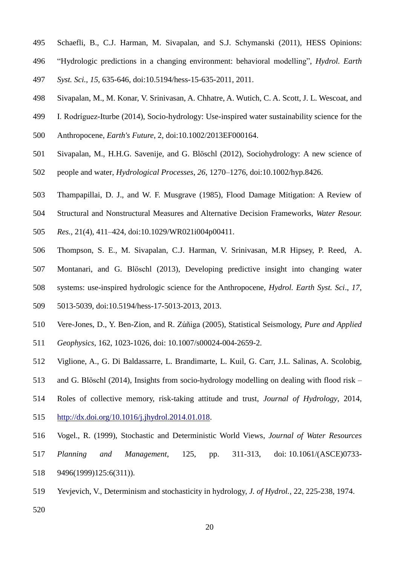- Schaefli, B., C.J. Harman, M. Sivapalan, and S.J. Schymanski (2011), HESS Opinions:
- "Hydrologic predictions in a changing environment: behavioral modelling", *Hydrol. Earth*
- *Syst. Sci.*, *15*, 635-646, doi:10.5194/hess-15-635-2011, 2011.
- Sivapalan, M., M. Konar, V. Srinivasan, A. Chhatre, A. Wutich, C. A. Scott, J. L. Wescoat, and
- I. Rodríguez-Iturbe (2014), Socio-hydrology: Use-inspired water sustainability science for the
- Anthropocene, *Earth's Future*, 2, doi:10.1002/2013EF000164.
- Sivapalan, M., H.H.G. Savenije, and G. Blöschl (2012), Sociohydrology: A new science of
- people and water, *Hydrological Processes*, *26*, 1270–1276, doi:10.1002/hyp.8426.
- Thampapillai, D. J., and W. F. Musgrave (1985), Flood Damage Mitigation: A Review of
- Structural and Nonstructural Measures and Alternative Decision Frameworks, *Water Resour.*
- *Res.*, 21(4), 411–424, doi:10.1029/WR021i004p00411.
- Thompson, S. E., M. Sivapalan, C.J. Harman, V. Srinivasan, M.R Hipsey, P. Reed, A.
- Montanari, and G. Blöschl (2013), Developing predictive insight into changing water
- systems: use-inspired hydrologic science for the Anthropocene, *Hydrol. Earth Syst. Sci*., *17*,
- 5013-5039, doi:10.5194/hess-17-5013-2013, 2013.
- Vere-Jones, D., Y. Ben-Zion, and R. Zúñiga (2005), Statistical Seismology, *Pure and Applied*
- *Geophysics*, 162, 1023-1026, doi: 10.1007/s00024-004-2659-2.
- Viglione, A., G. Di Baldassarre, L. Brandimarte, L. Kuil, G. Carr, J.L. Salinas, A. Scolobig,
- and G. Blöschl (2014), Insights from socio-hydrology modelling on dealing with flood risk –
- Roles of collective memory, risk-taking attitude and trust, *Journal of Hydrology*, 2014,
- [http://dx.doi.org/10.1016/j.jhydrol.2014.01.018.](http://dx.doi.org/10.1016/j.jhydrol.2014.01.018)
- Vogel., R. (1999), Stochastic and Deterministic World Views, *Journal of Water Resources*
- *Planning and Management*, 125, pp. 311-313, doi: 10.1061/(ASCE)0733- 9496(1999)125:6(311)).
- Yevjevich, V., Determinism and stochasticity in hydrology, *J. of Hydrol.*, 22, 225-238, 1974.